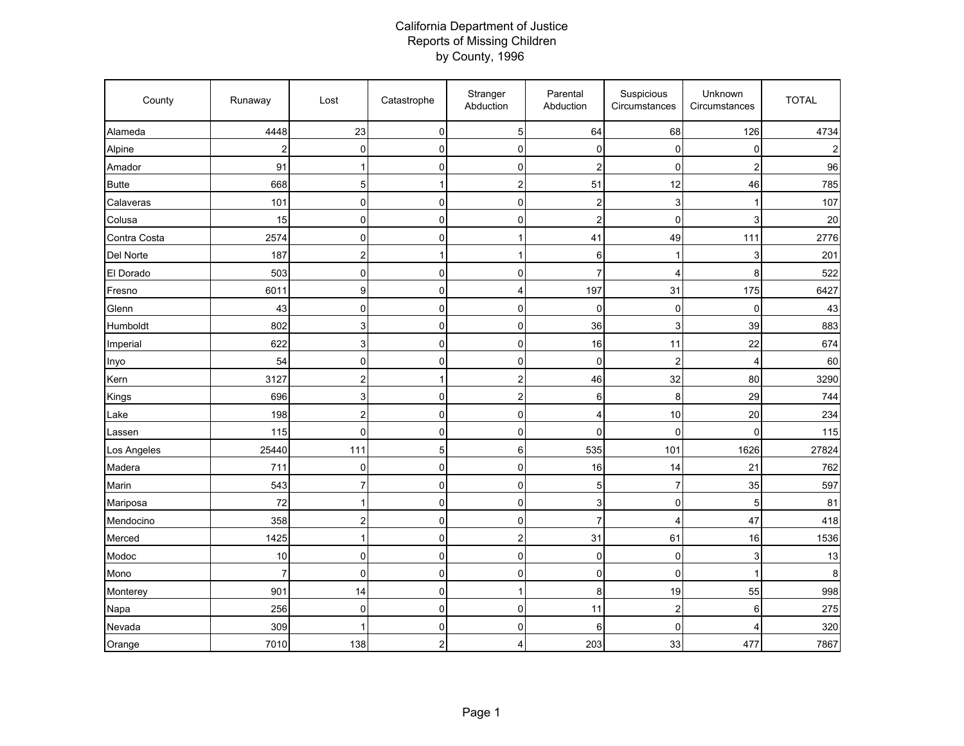## California Department of Justice Reports of Missing Children by County, 1996

| County       | Runaway                 | Lost                    | Catastrophe    | Stranger<br>Abduction | Parental<br>Abduction   | Suspicious<br>Circumstances | Unknown<br>Circumstances | <b>TOTAL</b> |
|--------------|-------------------------|-------------------------|----------------|-----------------------|-------------------------|-----------------------------|--------------------------|--------------|
| Alameda      | 4448                    | 23                      | $\mathbf 0$    | $\overline{5}$        | 64                      | 68                          | 126                      | 4734         |
| Alpine       | $\overline{\mathbf{c}}$ | $\mathbf 0$             | $\pmb{0}$      | $\pmb{0}$             | 0                       | $\mathbf 0$                 | 0                        |              |
| Amador       | 91                      | 1                       | $\pmb{0}$      | 0                     | $\overline{\mathbf{c}}$ | $\mathbf 0$                 | $\overline{c}$           | 96           |
| <b>Butte</b> | 668                     | 5                       | $\mathbf{1}$   | $\overline{c}$        | 51                      | 12                          | 46                       | 785          |
| Calaveras    | 101                     | $\mathbf 0$             | $\mathbf 0$    | $\pmb{0}$             | $\overline{\mathbf{c}}$ | 3                           | 1                        | 107          |
| Colusa       | 15                      | $\mathbf 0$             | $\mathbf 0$    | 0                     | $\overline{2}$          | $\mathbf 0$                 | 3                        | 20           |
| Contra Costa | 2574                    | $\mathbf 0$             | $\mathbf 0$    | 1                     | 41                      | 49                          | 111                      | 2776         |
| Del Norte    | 187                     | $\overline{c}$          | $\mathbf{1}$   | $\mathbf{1}$          | 6                       | 1                           | 3                        | 201          |
| El Dorado    | 503                     | $\mathbf 0$             | $\pmb{0}$      | $\pmb{0}$             | $\overline{7}$          | 4                           | 8                        | 522          |
| Fresno       | 6011                    | 9                       | $\mathbf 0$    | $\overline{4}$        | 197                     | 31                          | 175                      | 6427         |
| Glenn        | 43                      | 0                       | $\mathbf 0$    | 0                     | $\mathbf 0$             | $\mathbf 0$                 | 0                        | 43           |
| Humboldt     | 802                     | 3                       | $\mathbf 0$    | 0                     | 36                      | 3                           | 39                       | 883          |
| Imperial     | 622                     | $\mathbf{3}$            | $\pmb{0}$      | $\pmb{0}$             | 16                      | 11                          | 22                       | 674          |
| Inyo         | 54                      | $\mathbf 0$             | $\mathbf 0$    | 0                     | $\mathbf 0$             | $\overline{2}$              | 4                        | 60           |
| Kern         | 3127                    | $\overline{c}$          | $\mathbf{1}$   | $\boldsymbol{2}$      | 46                      | 32                          | 80                       | 3290         |
| Kings        | 696                     | 3                       | $\mathbf 0$    | $\mathbf 2$           | 6                       | 8                           | 29                       | 744          |
| Lake         | 198                     | $\overline{c}$          | $\mathbf 0$    | $\pmb{0}$             | 4                       | 10                          | 20                       | 234          |
| Lassen       | 115                     | $\mathbf 0$             | $\mathbf 0$    | $\mathbf 0$           | $\mathbf 0$             | $\mathbf 0$                 | $\overline{0}$           | 115          |
| Los Angeles  | 25440                   | 111                     | $\sqrt{5}$     | 6                     | 535                     | 101                         | 1626                     | 27824        |
| Madera       | 711                     | $\mathbf 0$             | $\mathbf 0$    | $\mathbf 0$           | 16                      | 14                          | 21                       | 762          |
| Marin        | 543                     | $\overline{7}$          | $\pmb{0}$      | $\mathsf{O}\xspace$   | 5                       | $\overline{7}$              | 35                       | 597          |
| Mariposa     | 72                      | 1                       | $\mathbf 0$    | $\pmb{0}$             | 3                       | $\mathbf 0$                 | 5                        | 81           |
| Mendocino    | 358                     | $\overline{\mathbf{c}}$ | $\mathbf 0$    | $\mathbf 0$           | $\overline{7}$          | 4                           | 47                       | 418          |
| Merced       | 1425                    | 1                       | $\mathbf 0$    | $\overline{a}$        | 31                      | 61                          | 16                       | 1536         |
| Modoc        | 10                      | $\mathbf 0$             | $\pmb{0}$      | $\pmb{0}$             | $\mathbf 0$             | $\mathbf 0$                 | 3                        | 13           |
| Mono         | $\overline{7}$          | 0                       | $\mathbf 0$    | $\mathbf 0$           | $\pmb{0}$               | $\mathbf 0$                 | 1                        | 8            |
| Monterey     | 901                     | 14                      | $\mathbf 0$    | $\mathbf{1}$          | 8                       | 19                          | 55                       | 998          |
| Napa         | 256                     | $\mathbf 0$             | $\pmb{0}$      | 0                     | 11                      | $\overline{\mathbf{c}}$     | 6                        | 275          |
| Nevada       | 309                     | 1                       | $\pmb{0}$      | $\pmb{0}$             | 6                       | $\mathbf 0$                 | 4                        | 320          |
| Orange       | 7010                    | 138                     | $\overline{c}$ | $\overline{4}$        | 203                     | 33                          | 477                      | 7867         |